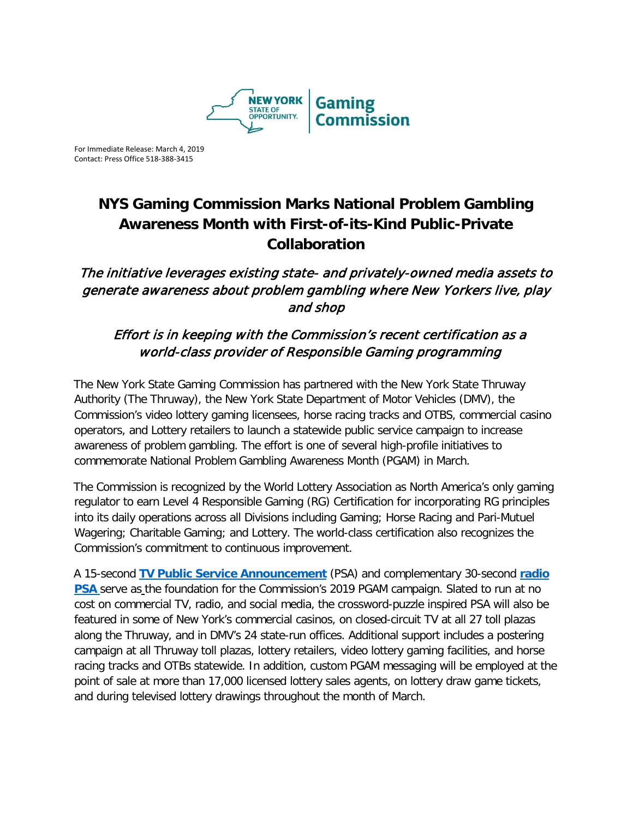

For Immediate Release: March 4, 2019 Contact: Press Office 518-388-3415

## **NYS Gaming Commission Marks National Problem Gambling Awareness Month with First-of-its-Kind Public-Private Collaboration**

## The initiative leverages existing state- and privately-owned media assets to generate awareness about problem gambling where New Yorkers live, play and shop

## Effort is in keeping with the Commission's recent certification as a world-class provider of Responsible Gaming programming

The New York State Gaming Commission has partnered with the New York State Thruway Authority (The Thruway), the New York State Department of Motor Vehicles (DMV), the Commission's video lottery gaming licensees, horse racing tracks and OTBS, commercial casino operators, and Lottery retailers to launch a statewide public service campaign to increase awareness of problem gambling. The effort is one of several high-profile initiatives to commemorate National Problem Gambling Awareness Month (PGAM) in March.

The Commission is recognized by the World Lottery Association as North America's only gaming regulator to earn Level 4 Responsible Gaming (RG) Certification for incorporating RG principles into its daily operations across all Divisions including Gaming; Horse Racing and Pari-Mutuel Wagering; Charitable Gaming; and Lottery. The world-class certification also recognizes the Commission's commitment to continuous improvement.

A 15-second **TV [Public Service Announcement](https://www.youtube.com/watch?v=e5TctBAXErQ)** (PSA) and complementary 30-second **[radio](https://youtu.be/_YjZd6F0Fko)  [PSA](https://youtu.be/_YjZd6F0Fko)** serve as the foundation for the Commission's 2019 PGAM campaign. Slated to run at no cost on commercial TV, radio, and social media, the crossword-puzzle inspired PSA will also be featured in some of New York's commercial casinos, on closed-circuit TV at all 27 toll plazas along the Thruway, and in DMV's 24 state-run offices. Additional support includes a postering campaign at all Thruway toll plazas, lottery retailers, video lottery gaming facilities, and horse racing tracks and OTBs statewide. In addition, custom PGAM messaging will be employed at the point of sale at more than 17,000 licensed lottery sales agents, on lottery draw game tickets, and during televised lottery drawings throughout the month of March.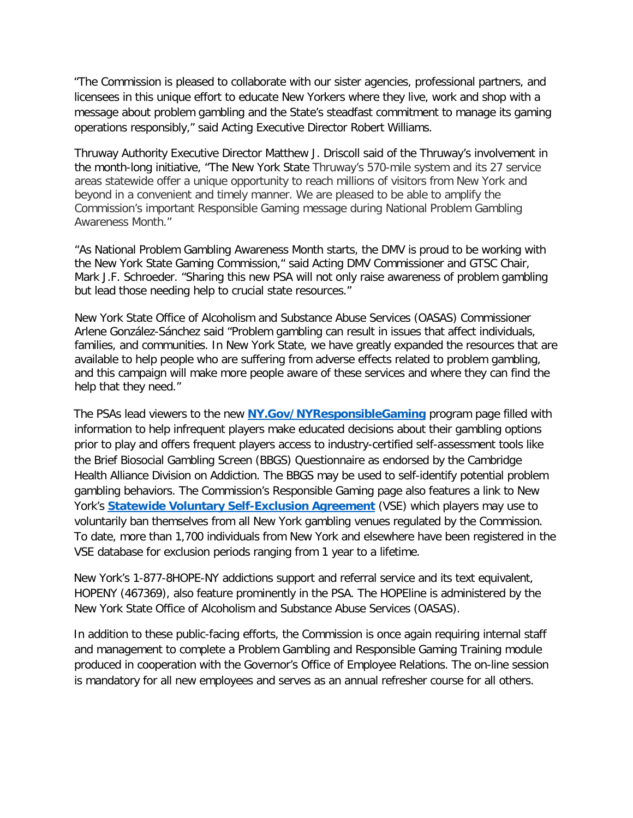"The Commission is pleased to collaborate with our sister agencies, professional partners, and licensees in this unique effort to educate New Yorkers where they live, work and shop with a message about problem gambling and the State's steadfast commitment to manage its gaming operations responsibly," said Acting Executive Director Robert Williams.

Thruway Authority Executive Director Matthew J. Driscoll said of the Thruway's involvement in the month-long initiative, "The New York State Thruway's 570-mile system and its 27 service areas statewide offer a unique opportunity to reach millions of visitors from New York and beyond in a convenient and timely manner. We are pleased to be able to amplify the Commission's important Responsible Gaming message during National Problem Gambling Awareness Month."

"As National Problem Gambling Awareness Month starts, the DMV is proud to be working with the New York State Gaming Commission," said Acting DMV Commissioner and GTSC Chair, Mark J.F. Schroeder. "Sharing this new PSA will not only raise awareness of problem gambling but lead those needing help to crucial state resources."

New York State Office of Alcoholism and Substance Abuse Services (OASAS) Commissioner Arlene González-Sánchez said "Problem gambling can result in issues that affect individuals, families, and communities. In New York State, we have greatly expanded the resources that are available to help people who are suffering from adverse effects related to problem gambling, and this campaign will make more people aware of these services and where they can find the help that they need."

The PSAs lead viewers to the new **[NY.Gov/NYResponsibleGaming](https://www.ny.gov/programs/responsible-gaming)** program page filled with information to help infrequent players make educated decisions about their gambling options prior to play and offers frequent players access to industry-certified self-assessment tools like the Brief Biosocial Gambling Screen (BBGS) Questionnaire as endorsed by the Cambridge Health Alliance Division on Addiction. The BBGS may be used to self-identify potential problem gambling behaviors. The Commission's Responsible Gaming page also features a link to New York's **[Statewide Voluntary Self-Exclusion Agreement](https://www.gaming.ny.gov/pdf/UpdatedSEForm-031418%20(002).pdf)** (VSE) which players may use to voluntarily ban themselves from all New York gambling venues regulated by the Commission. To date, more than 1,700 individuals from New York and elsewhere have been registered in the VSE database for exclusion periods ranging from 1 year to a lifetime.

New York's 1-877-8HOPE-NY addictions support and referral service and its text equivalent, HOPENY (467369), also feature prominently in the PSA. The HOPEline is administered by the New York State Office of Alcoholism and Substance Abuse Services (OASAS).

In addition to these public-facing efforts, the Commission is once again requiring internal staff and management to complete a Problem Gambling and Responsible Gaming Training module produced in cooperation with the Governor's Office of Employee Relations. The on-line session is mandatory for all new employees and serves as an annual refresher course for all others.